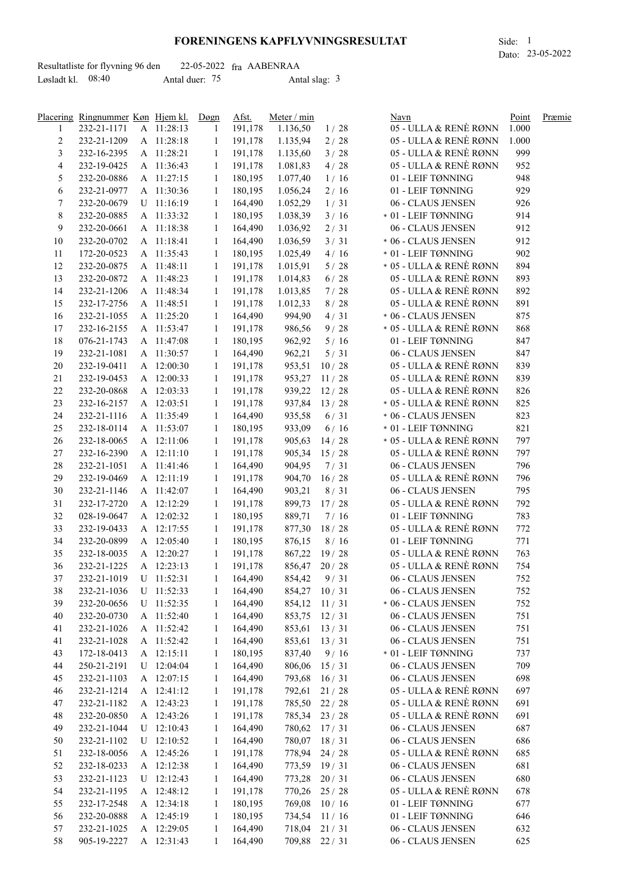## **FORENINGENS KAPFLYVNINGSRESULTAT** Side: 1

|                     | Resultatliste for flyvning 96 den |                | $22-05-2022$ fra AABENRAA |  |
|---------------------|-----------------------------------|----------------|---------------------------|--|
| Løsladt kl. $08:40$ |                                   | Antal duer: 75 | Antal slag: $3$           |  |

|        | Placering Ringnummer Køn Hjem kl. |              | Døgn         | Afst.     | Meter / min    |              | Navn                    | Point | Præmie |
|--------|-----------------------------------|--------------|--------------|-----------|----------------|--------------|-------------------------|-------|--------|
| 1      | 232-21-1171                       | A 11:28:13   | 1            | 191,178   | 1.136,50       | 1/28         | 05 - ULLA & RENE RØNN   | 1.000 |        |
| 2      | 232-21-1209                       | A 11:28:18   | 1            | 191,178   | 1.135,94       | 2/28         | 05 - ULLA & RENÈ RØNN   | 1.000 |        |
| 3      | 232-16-2395                       | A 11:28:21   | 1            | 191,178   | 1.135,60       | 3/28         | 05 - ULLA & RENÈ RØNN   | 999   |        |
| 4      | 232-19-0425                       | A 11:36:43   | 1            | 191,178   | 1.081,83       | 4/28         | 05 - ULLA & RENÈ RØNN   | 952   |        |
| 5      | 232-20-0886                       | A 11:27:15   | 1            | 180,195   | 1.077,40       | 1/16         | 01 - LEIF TØNNING       | 948   |        |
| 6      | 232-21-0977                       | A 11:30:36   | 1            | 180,195   | 1.056,24       | 2/16         | 01 - LEIF TØNNING       | 929   |        |
| 7      | 232-20-0679                       | U 11:16:19   | 1            | 164,490   | 1.052,29       | 1/31         | 06 - CLAUS JENSEN       | 926   |        |
| 8      | 232-20-0885                       | A 11:33:32   | 1            | 180,195   | 1.038,39       | 3/16         | * 01 - LEIF TØNNING     | 914   |        |
| 9      | 232-20-0661                       | A 11:18:38   | 1            | 164,490   | 1.036,92       | 2/31         | 06 - CLAUS JENSEN       | 912   |        |
| 10     | 232-20-0702                       | A 11:18:41   | 1            | 164,490   | 1.036,59       | 3/31         | * 06 - CLAUS JENSEN     | 912   |        |
| 11     | 172-20-0523                       | A 11:35:43   | $\mathbf{1}$ | 180,195   | 1.025,49       | 4/16         | * 01 - LEIF TØNNING     | 902   |        |
| 12     | 232-20-0875                       | A 11:48:11   | $\mathbf{1}$ | 191,178   | 1.015,91       | 5/28         | * 05 - ULLA & RENÈ RØNN | 894   |        |
| 13     | 232-20-0872                       | A 11:48:23   | $\mathbf{1}$ | 191,178   | 1.014,83       | 6/28         | 05 - ULLA & RENÈ RØNN   | 893   |        |
| 14     | 232-21-1206                       | A 11:48:34   | $\mathbf{1}$ | 191,178   | 1.013,85       | 7/28         | 05 - ULLA & RENÈ RØNN   | 892   |        |
| 15     | 232-17-2756                       | A 11:48:51   | $\mathbf{1}$ | 191,178   | 1.012,33       | $8/28$       | 05 - ULLA & RENÈ RØNN   | 891   |        |
| 16     | 232-21-1055                       | A 11:25:20   | $\mathbf{1}$ | 164,490   | 994,90         | 4/31         | * 06 - CLAUS JENSEN     | 875   |        |
| 17     | 232-16-2155                       | A 11:53:47   | 1            | 191,178   | 986,56         | 9/28         | * 05 - ULLA & RENÈ RØNN | 868   |        |
| 18     | 076-21-1743                       | A 11:47:08   | $\mathbf{1}$ | 180,195   | 962,92         | 5/16         | 01 - LEIF TØNNING       | 847   |        |
| 19     | 232-21-1081                       | A 11:30:57   | $\mathbf{1}$ | 164,490   | 962,21         | 5/31         | 06 - CLAUS JENSEN       | 847   |        |
| 20     | 232-19-0411                       | A 12:00:30   | $\mathbf{1}$ | 191,178   | 953,51         | 10/28        | 05 - ULLA & RENÈ RØNN   | 839   |        |
| 21     | 232-19-0453                       | A 12:00:33   | 1            | 191,178   | 953,27         | 11/28        | 05 - ULLA & RENÈ RØNN   | 839   |        |
| $22\,$ | 232-20-0868                       | A 12:03:33   | 1            | 191,178   | 939,22         | 12/28        | 05 - ULLA & RENÈ RØNN   | 826   |        |
| 23     | 232-16-2157                       | A 12:03:51   | 1            | 191,178   | 937,84         | 13/28        | * 05 - ULLA & RENÈ RØNN | 825   |        |
| 24     | 232-21-1116                       | A 11:35:49   | 1            | 164,490   | 935,58         | 6/31         | * 06 - CLAUS JENSEN     | 823   |        |
| 25     | 232-18-0114                       | A 11:53:07   | 1            | 180,195   | 933,09         | 6/16         | * 01 - LEIF TØNNING     | 821   |        |
| 26     | 232-18-0065                       | A 12:11:06   | 1            | 191,178   | 905,63         | 14/28        | * 05 - ULLA & RENÈ RØNN | 797   |        |
| 27     | 232-16-2390                       | A 12:11:10   | 1            | 191,178   | 905,34         | 15/28        | 05 - ULLA & RENÈ RØNN   | 797   |        |
| 28     | 232-21-1051                       | A 11:41:46   | 1            | 164,490   | 904,95         | 7/31         | 06 - CLAUS JENSEN       | 796   |        |
| 29     | 232-19-0469                       | A 12:11:19   | $\mathbf{1}$ | 191,178   | 904,70         | 16/28        | 05 - ULLA & RENÈ RØNN   | 796   |        |
| 30     | 232-21-1146                       | A 11:42:07   | $\mathbf{1}$ | 164,490   | 903,21         | 8/31         | 06 - CLAUS JENSEN       | 795   |        |
| 31     | 232-17-2720                       | A 12:12:29   | $\mathbf{1}$ | 191,178   | 899,73         | 17/28        | 05 - ULLA & RENÈ RØNN   | 792   |        |
| 32     | 028-19-0647                       | A 12:02:32   | $\mathbf{1}$ | 180,195   | 889,71         | 7/16         | 01 - LEIF TØNNING       | 783   |        |
| 33     | 232-19-0433                       | A 12:17:55   | $\mathbf{1}$ | 191,178   | 877,30         | 18/28        | 05 - ULLA & RENÈ RØNN   | 772   |        |
| 34     | 232-20-0899                       | A 12:05:40   | $\mathbf{1}$ | 180,195   | 876,15         | 8/16         | 01 - LEIF TØNNING       | 771   |        |
| 35     | 232-18-0035                       | A 12:20:27   | $\mathbf{1}$ | 191,178   | 867,22         | 19/28        | 05 - ULLA & RENÈ RØNN   | 763   |        |
| 36     | 232-21-1225                       | A 12:23:13   | $\mathbf{1}$ | 191,178   | 856,47         | 20/28        | 05 - ULLA & RENÈ RØNN   | 754   |        |
| 37     | 232-21-1019 U 11:52:31            |              |              | 1 164,490 | 854,42         | 9/31         | 06 - CLAUS JENSEN       | 752   |        |
| 38     | 232-21-1036                       | U 11:52:33   | 1            | 164,490   | 854,27 10/31   |              | 06 - CLAUS JENSEN       | 752   |        |
| 39     | 232-20-0656                       | U 11:52:35   | 1            | 164,490   | 854,12         | 11/31        | * 06 - CLAUS JENSEN     | 752   |        |
| 40     | 232-20-0730                       | A 11:52:40   | 1            | 164,490   | 853,75 12/31   |              | 06 - CLAUS JENSEN       | 751   |        |
| 41     | 232-21-1026                       | A 11:52:42   | 1            | 164,490   | 853,61 13/31   |              | 06 - CLAUS JENSEN       | 751   |        |
| 41     | 232-21-1028                       | A 11:52:42   | $\mathbf{1}$ | 164,490   | 853,61 13/31   |              | 06 - CLAUS JENSEN       | 751   |        |
| 43     | 172-18-0413                       | A 12:15:11   | 1            | 180,195   | 837,40         | 9/16         | * 01 - LEIF TØNNING     | 737   |        |
| 44     | 250-21-2191                       | $U$ 12:04:04 | $\mathbf{1}$ | 164,490   | 806,06 15/31   |              | 06 - CLAUS JENSEN       | 709   |        |
| 45     | 232-21-1103                       | A 12:07:15   | 1            | 164,490   | 793,68 16/31   |              | 06 - CLAUS JENSEN       | 698   |        |
| 46     | 232-21-1214                       | A 12:41:12   | 1            | 191,178   |                | 792,61 21/28 | 05 - ULLA & RENÈ RØNN   | 697   |        |
| 47     | 232-21-1182                       | A 12:43:23   | 1            | 191,178   |                | 785,50 22/28 | 05 - ULLA & RENÈ RØNN   | 691   |        |
| 48     | 232-20-0850                       | A 12:43:26   | $\mathbf{1}$ | 191,178   |                | 785,34 23/28 | 05 - ULLA & RENÈ RØNN   | 691   |        |
| 49     | 232-21-1044                       | U 12:10:43   | $\mathbf{1}$ | 164,490   | 780,62 17/31   |              | 06 - CLAUS JENSEN       | 687   |        |
| 50     | 232-21-1102                       | $U$ 12:10:52 | $\mathbf{1}$ | 164,490   | 780,07 18 / 31 |              | 06 - CLAUS JENSEN       | 686   |        |
| 51     | 232-18-0056                       | A 12:45:26   | $\mathbf{1}$ | 191,178   | 778,94 24 / 28 |              | 05 - ULLA & RENÈ RØNN   | 685   |        |
| 52     | 232-18-0233                       | A 12:12:38   | 1            | 164,490   | 773,59 19/31   |              | 06 - CLAUS JENSEN       | 681   |        |
| 53     | 232-21-1123                       | U 12:12:43   | 1            | 164,490   | 773,28         | 20/31        | 06 - CLAUS JENSEN       | 680   |        |
| 54     | 232-21-1195                       | A 12:48:12   | 1            | 191,178   | 770,26         | 25/28        | 05 - ULLA & RENE RØNN   | 678   |        |
| 55     | 232-17-2548                       | A 12:34:18   | 1            | 180,195   | 769,08         | 10/16        | 01 - LEIF TØNNING       | 677   |        |
| 56     | 232-20-0888                       | A 12:45:19   | 1            | 180,195   | 734,54         | 11/16        | 01 - LEIF TØNNING       | 646   |        |
| 57     | 232-21-1025                       | A 12:29:05   | $\mathbf{1}$ | 164,490   | 718,04 21/31   |              | 06 - CLAUS JENSEN       | 632   |        |
| 58     | 905-19-2227                       | A 12:31:43   | $\mathbf{1}$ | 164,490   | 709,88 22/31   |              | 06 - CLAUS JENSEN       | 625   |        |